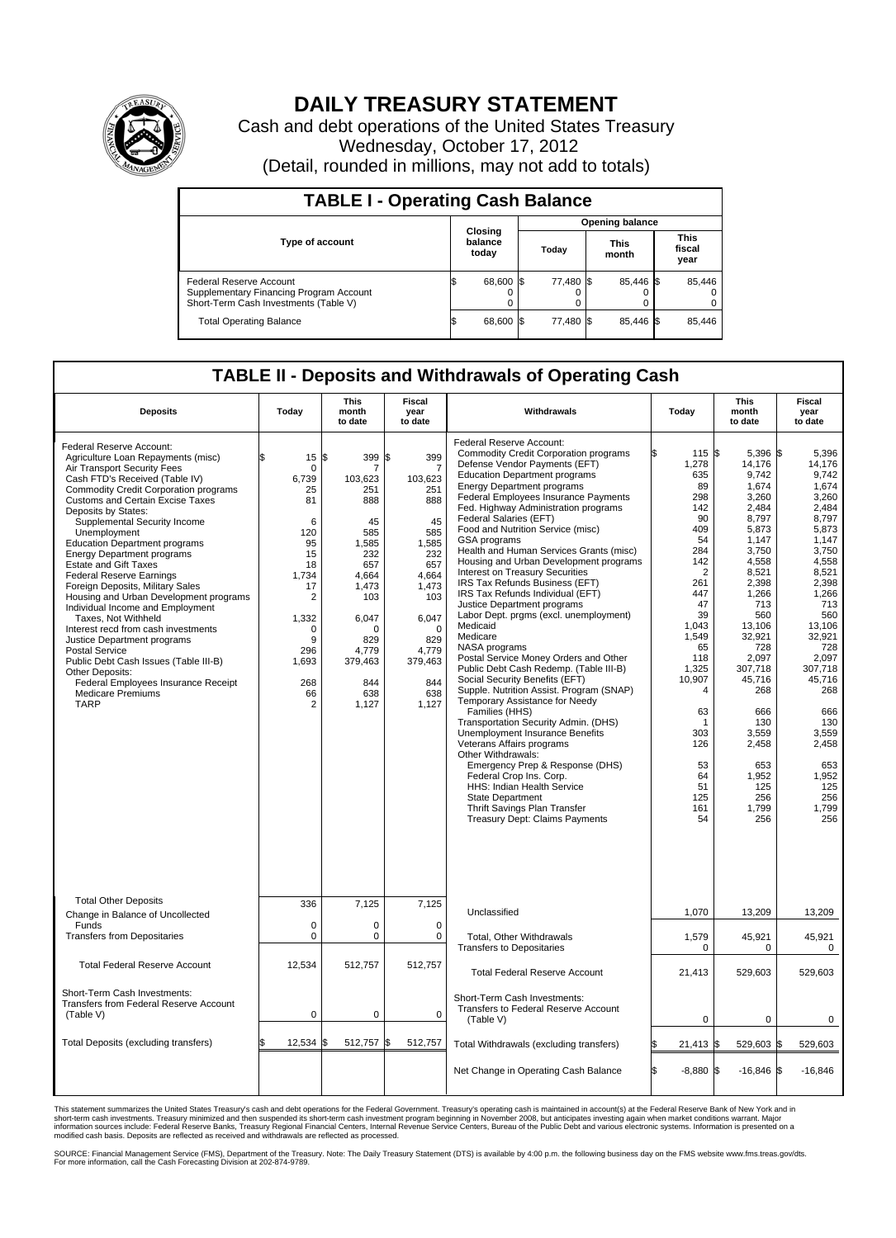

## **DAILY TREASURY STATEMENT**

Cash and debt operations of the United States Treasury Wednesday, October 17, 2012 (Detail, rounded in millions, may not add to totals)

| <b>TABLE I - Operating Cash Balance</b>                                                                     |                             |                |                 |           |  |                      |  |                               |  |
|-------------------------------------------------------------------------------------------------------------|-----------------------------|----------------|-----------------|-----------|--|----------------------|--|-------------------------------|--|
|                                                                                                             | Closing<br>balance<br>today |                | Opening balance |           |  |                      |  |                               |  |
| <b>Type of account</b>                                                                                      |                             |                |                 | Today     |  | <b>This</b><br>month |  | <b>This</b><br>fiscal<br>year |  |
| Federal Reserve Account<br>Supplementary Financing Program Account<br>Short-Term Cash Investments (Table V) | ß.                          | 68,600 \$<br>0 |                 | 77,480 \$ |  | 85.446 \$<br>0       |  | 85,446<br>$\Omega$<br>0       |  |
| <b>Total Operating Balance</b>                                                                              | ß.                          | 68,600         |                 | 77,480 \$ |  | 85.446 \$            |  | 85,446                        |  |

## **TABLE II - Deposits and Withdrawals of Operating Cash**

| <b>Deposits</b>                                                                                                                                                                                                                                                                                                                                                                                                                                                                                                                                                                                                                                                                                                                                                                                                                         | Today                                                                                                                                         | <b>This</b><br>month<br>to date                                                                                                                                       | Fiscal<br>year<br>to date                                                                                                                                                                   | Withdrawals                                                                                                                                                                                                                                                                                                                                                                                                                                                                                                                                                                                                                                                                                                                                                                                                                                                                                                                                                                                                                                                                                                                                                                                                                            | Today                                                                                                                                                                                                                                                   | <b>This</b><br>month<br>to date                                                                                                                                                                                                                                                            | <b>Fiscal</b><br>year<br>to date                                                                                                                                                                                                                                                        |  |
|-----------------------------------------------------------------------------------------------------------------------------------------------------------------------------------------------------------------------------------------------------------------------------------------------------------------------------------------------------------------------------------------------------------------------------------------------------------------------------------------------------------------------------------------------------------------------------------------------------------------------------------------------------------------------------------------------------------------------------------------------------------------------------------------------------------------------------------------|-----------------------------------------------------------------------------------------------------------------------------------------------|-----------------------------------------------------------------------------------------------------------------------------------------------------------------------|---------------------------------------------------------------------------------------------------------------------------------------------------------------------------------------------|----------------------------------------------------------------------------------------------------------------------------------------------------------------------------------------------------------------------------------------------------------------------------------------------------------------------------------------------------------------------------------------------------------------------------------------------------------------------------------------------------------------------------------------------------------------------------------------------------------------------------------------------------------------------------------------------------------------------------------------------------------------------------------------------------------------------------------------------------------------------------------------------------------------------------------------------------------------------------------------------------------------------------------------------------------------------------------------------------------------------------------------------------------------------------------------------------------------------------------------|---------------------------------------------------------------------------------------------------------------------------------------------------------------------------------------------------------------------------------------------------------|--------------------------------------------------------------------------------------------------------------------------------------------------------------------------------------------------------------------------------------------------------------------------------------------|-----------------------------------------------------------------------------------------------------------------------------------------------------------------------------------------------------------------------------------------------------------------------------------------|--|
| Federal Reserve Account:<br>Agriculture Loan Repayments (misc)<br>Air Transport Security Fees<br>Cash FTD's Received (Table IV)<br><b>Commodity Credit Corporation programs</b><br><b>Customs and Certain Excise Taxes</b><br>Deposits by States:<br>Supplemental Security Income<br>Unemployment<br><b>Education Department programs</b><br><b>Energy Department programs</b><br><b>Estate and Gift Taxes</b><br><b>Federal Reserve Earnings</b><br>Foreign Deposits, Military Sales<br>Housing and Urban Development programs<br>Individual Income and Employment<br>Taxes. Not Withheld<br>Interest recd from cash investments<br>Justice Department programs<br><b>Postal Service</b><br>Public Debt Cash Issues (Table III-B)<br>Other Deposits:<br>Federal Employees Insurance Receipt<br><b>Medicare Premiums</b><br><b>TARP</b> | 15<br>$\mathbf 0$<br>6,739<br>25<br>81<br>6<br>120<br>95<br>15<br>18<br>1.734<br>17<br>2<br>1,332<br>0<br>9<br>296<br>1,693<br>268<br>66<br>2 | l\$<br>399<br>7<br>103,623<br>251<br>888<br>45<br>585<br>1,585<br>232<br>657<br>4.664<br>1,473<br>103<br>6,047<br>0<br>829<br>4.779<br>379,463<br>844<br>638<br>1,127 | \$<br>399<br>$\overline{7}$<br>103,623<br>251<br>888<br>45<br>585<br>1,585<br>232<br>657<br>4.664<br>1,473<br>103<br>6,047<br>$\mathbf 0$<br>829<br>4.779<br>379,463<br>844<br>638<br>1,127 | Federal Reserve Account:<br><b>Commodity Credit Corporation programs</b><br>Defense Vendor Payments (EFT)<br><b>Education Department programs</b><br><b>Energy Department programs</b><br>Federal Employees Insurance Payments<br>Fed. Highway Administration programs<br>Federal Salaries (EFT)<br>Food and Nutrition Service (misc)<br>GSA programs<br>Health and Human Services Grants (misc)<br>Housing and Urban Development programs<br><b>Interest on Treasury Securities</b><br>IRS Tax Refunds Business (EFT)<br>IRS Tax Refunds Individual (EFT)<br>Justice Department programs<br>Labor Dept. prgms (excl. unemployment)<br>Medicaid<br>Medicare<br>NASA programs<br>Postal Service Money Orders and Other<br>Public Debt Cash Redemp. (Table III-B)<br>Social Security Benefits (EFT)<br>Supple. Nutrition Assist. Program (SNAP)<br>Temporary Assistance for Needy<br>Families (HHS)<br>Transportation Security Admin. (DHS)<br><b>Unemployment Insurance Benefits</b><br>Veterans Affairs programs<br>Other Withdrawals:<br>Emergency Prep & Response (DHS)<br>Federal Crop Ins. Corp.<br>HHS: Indian Health Service<br><b>State Department</b><br>Thrift Savings Plan Transfer<br><b>Treasury Dept: Claims Payments</b> | 115 \$<br>1,278<br>635<br>89<br>298<br>142<br>90<br>409<br>54<br>284<br>142<br>$\overline{2}$<br>261<br>447<br>47<br>39<br>1,043<br>1,549<br>65<br>118<br>1,325<br>10,907<br>4<br>63<br>$\mathbf 1$<br>303<br>126<br>53<br>64<br>51<br>125<br>161<br>54 | 5,396 \$<br>14,176<br>9,742<br>1.674<br>3,260<br>2.484<br>8,797<br>5,873<br>1,147<br>3,750<br>4,558<br>8,521<br>2,398<br>1.266<br>713<br>560<br>13,106<br>32,921<br>728<br>2.097<br>307,718<br>45,716<br>268<br>666<br>130<br>3.559<br>2,458<br>653<br>1,952<br>125<br>256<br>1,799<br>256 | 5,396<br>14,176<br>9,742<br>1.674<br>3,260<br>2.484<br>8,797<br>5,873<br>1,147<br>3,750<br>4.558<br>8,521<br>2,398<br>1.266<br>713<br>560<br>13,106<br>32,921<br>728<br>2.097<br>307.718<br>45,716<br>268<br>666<br>130<br>3,559<br>2,458<br>653<br>1,952<br>125<br>256<br>1,799<br>256 |  |
| <b>Total Other Deposits</b><br>Change in Balance of Uncollected                                                                                                                                                                                                                                                                                                                                                                                                                                                                                                                                                                                                                                                                                                                                                                         | 336                                                                                                                                           | 7,125                                                                                                                                                                 | 7,125                                                                                                                                                                                       | Unclassified                                                                                                                                                                                                                                                                                                                                                                                                                                                                                                                                                                                                                                                                                                                                                                                                                                                                                                                                                                                                                                                                                                                                                                                                                           | 1,070                                                                                                                                                                                                                                                   | 13,209                                                                                                                                                                                                                                                                                     | 13,209                                                                                                                                                                                                                                                                                  |  |
| Funds<br><b>Transfers from Depositaries</b>                                                                                                                                                                                                                                                                                                                                                                                                                                                                                                                                                                                                                                                                                                                                                                                             | $\mathbf 0$<br>0                                                                                                                              | $\mathbf 0$<br>$\mathbf 0$                                                                                                                                            | $\Omega$<br>0                                                                                                                                                                               | Total, Other Withdrawals<br><b>Transfers to Depositaries</b>                                                                                                                                                                                                                                                                                                                                                                                                                                                                                                                                                                                                                                                                                                                                                                                                                                                                                                                                                                                                                                                                                                                                                                           | 1,579<br>0                                                                                                                                                                                                                                              | 45,921<br>0                                                                                                                                                                                                                                                                                | 45,921<br>$\mathbf 0$                                                                                                                                                                                                                                                                   |  |
| <b>Total Federal Reserve Account</b>                                                                                                                                                                                                                                                                                                                                                                                                                                                                                                                                                                                                                                                                                                                                                                                                    | 12,534                                                                                                                                        | 512,757                                                                                                                                                               | 512,757                                                                                                                                                                                     | <b>Total Federal Reserve Account</b>                                                                                                                                                                                                                                                                                                                                                                                                                                                                                                                                                                                                                                                                                                                                                                                                                                                                                                                                                                                                                                                                                                                                                                                                   | 21,413                                                                                                                                                                                                                                                  | 529,603                                                                                                                                                                                                                                                                                    | 529,603                                                                                                                                                                                                                                                                                 |  |
| Short-Term Cash Investments:<br>Transfers from Federal Reserve Account<br>(Table V)                                                                                                                                                                                                                                                                                                                                                                                                                                                                                                                                                                                                                                                                                                                                                     | 0                                                                                                                                             | 0                                                                                                                                                                     | $\mathbf 0$                                                                                                                                                                                 | Short-Term Cash Investments:<br>Transfers to Federal Reserve Account<br>(Table V)                                                                                                                                                                                                                                                                                                                                                                                                                                                                                                                                                                                                                                                                                                                                                                                                                                                                                                                                                                                                                                                                                                                                                      | $\mathbf 0$                                                                                                                                                                                                                                             | 0                                                                                                                                                                                                                                                                                          | 0                                                                                                                                                                                                                                                                                       |  |
| Total Deposits (excluding transfers)                                                                                                                                                                                                                                                                                                                                                                                                                                                                                                                                                                                                                                                                                                                                                                                                    | 12,534                                                                                                                                        | 512,757<br>ß.                                                                                                                                                         | 512,757                                                                                                                                                                                     | Total Withdrawals (excluding transfers)                                                                                                                                                                                                                                                                                                                                                                                                                                                                                                                                                                                                                                                                                                                                                                                                                                                                                                                                                                                                                                                                                                                                                                                                | $21,413$ \$                                                                                                                                                                                                                                             | 529,603 \$                                                                                                                                                                                                                                                                                 | 529,603                                                                                                                                                                                                                                                                                 |  |
|                                                                                                                                                                                                                                                                                                                                                                                                                                                                                                                                                                                                                                                                                                                                                                                                                                         |                                                                                                                                               |                                                                                                                                                                       |                                                                                                                                                                                             | Net Change in Operating Cash Balance                                                                                                                                                                                                                                                                                                                                                                                                                                                                                                                                                                                                                                                                                                                                                                                                                                                                                                                                                                                                                                                                                                                                                                                                   | l\$<br>$-8,880$ \$                                                                                                                                                                                                                                      | $-16,846$ \$                                                                                                                                                                                                                                                                               | $-16,846$                                                                                                                                                                                                                                                                               |  |

This statement summarizes the United States Treasury's cash and debt operations for the Federal Government. Treasury's operating cash is maintained in account(s) at the Federal Reserve Bank of New York and in<br>short-term ca

SOURCE: Financial Management Service (FMS), Department of the Treasury. Note: The Daily Treasury Statement (DTS) is available by 4:00 p.m. the following business day on the FMS website www.fms.treas.gov/dts.<br>For more infor